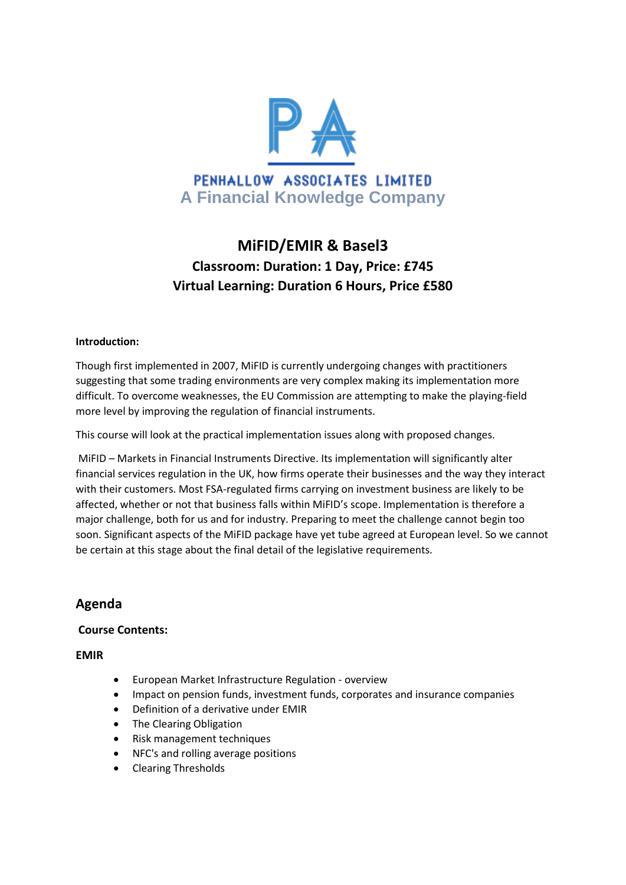

# **MiFID/EMIR & Basel3 Classroom: Duration: 1 Day, Price: £745 Virtual Learning: Duration 6 Hours, Price £580**

#### **Introduction:**

Though first implemented in 2007, MiFID is currently undergoing changes with practitioners suggesting that some trading environments are very complex making its implementation more difficult. To overcome weaknesses, the EU Commission are attempting to make the playing-field more level by improving the regulation of financial instruments.

This course will look at the practical implementation issues along with proposed changes.

MiFID – Markets in Financial Instruments Directive. Its implementation will significantly alter financial services regulation in the UK, how firms operate their businesses and the way they interact with their customers. Most FSA-regulated firms carrying on investment business are likely to be affected, whether or not that business falls within MiFID's scope. Implementation is therefore a major challenge, both for us and for industry. Preparing to meet the challenge cannot begin too soon. Significant aspects of the MiFID package have yet tube agreed at European level. So we cannot be certain at this stage about the final detail of the legislative requirements.

# **Agenda**

# **Course Contents:**

**EMIR**

- European Market Infrastructure Regulation overview
- Impact on pension funds, investment funds, corporates and insurance companies
- Definition of a derivative under EMIR
- The Clearing Obligation
- Risk management techniques
- NFC's and rolling average positions
- Clearing Thresholds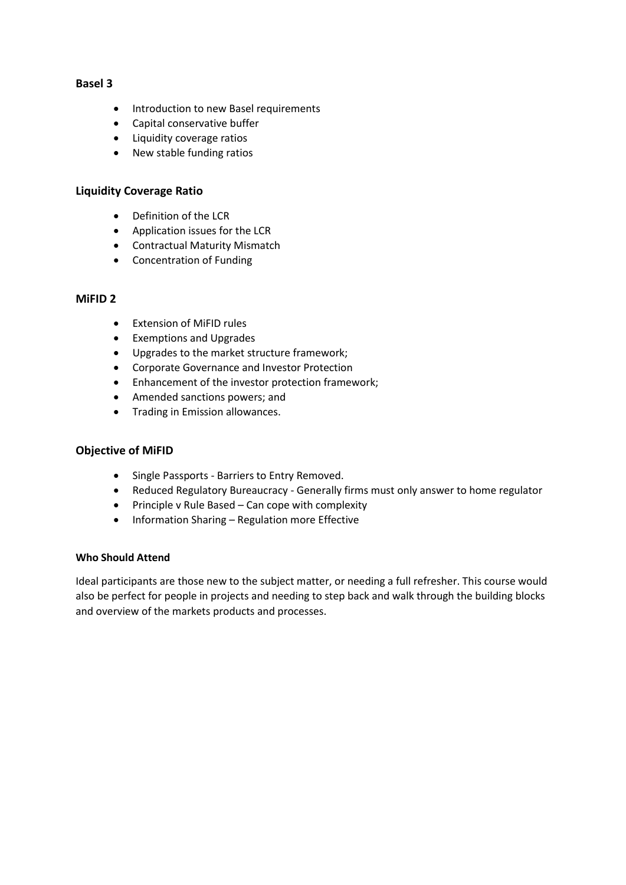# **Basel 3**

- Introduction to new Basel requirements
- Capital conservative buffer
- Liquidity coverage ratios
- New stable funding ratios

### **Liquidity Coverage Ratio**

- Definition of the LCR
- Application issues for the LCR
- Contractual Maturity Mismatch
- Concentration of Funding

#### **MiFID 2**

- Extension of MiFID rules
- Exemptions and Upgrades
- Upgrades to the market structure framework;
- Corporate Governance and Investor Protection
- Enhancement of the investor protection framework;
- Amended sanctions powers; and
- Trading in Emission allowances.

#### **Objective of MiFID**

- Single Passports Barriers to Entry Removed.
- Reduced Regulatory Bureaucracy Generally firms must only answer to home regulator
- $\bullet$  Principle v Rule Based Can cope with complexity
- Information Sharing Regulation more Effective

#### **Who Should Attend**

Ideal participants are those new to the subject matter, or needing a full refresher. This course would also be perfect for people in projects and needing to step back and walk through the building blocks and overview of the markets products and processes.